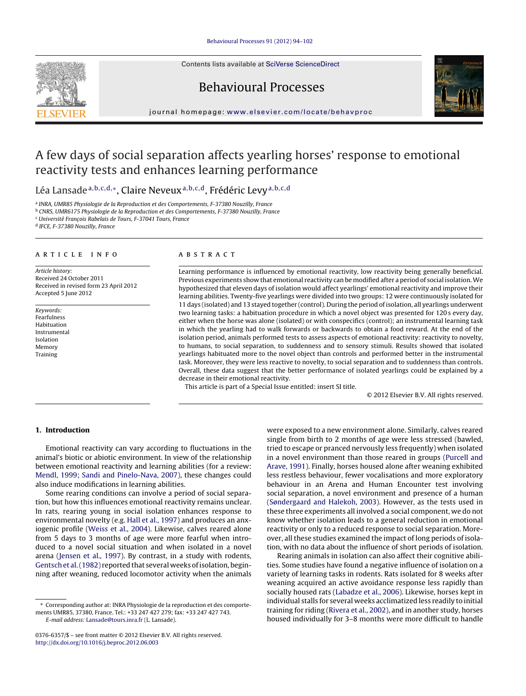Contents lists available at SciVerse [ScienceDirect](http://www.sciencedirect.com/science/journal/03766357)







jou rnal homepage: [www.elsevier.com/locate/behavproc](http://www.elsevier.com/locate/behavproc)

# A few days of social separation affects yearling horses' response to emotional reactivity tests and enhances learning performance

Léa Lansade<sup>a,b,c,d,∗</sup>, Claire Neveux<sup>a,b,c,d</sup>, Frédéric Levy<sup>a,b,c,d</sup>

<sup>a</sup> INRA, UMR85 Physiologie de la Reproduction et des Comportements, F-37380 Nouzilly, France

<sup>b</sup> CNRS, UMR6175 Physiologie de la Reproduction et des Comportements, F-37380 Nouzilly, France

 $\cdot$  Université Francois Rabelais de Tours, F-37041 Tours, France

<sup>d</sup> IFCE, F-37380 Nouzilly, France

#### a r t i c l e i n f o

Article history: Received 24 October 2011 Received in revised form 23 April 2012 Accepted 5 June 2012

Keywords: Fearfulness Habituation Instrumental Isolation Memory Training

## A B S T R A C T

Learning performance is influenced by emotional reactivity, low reactivity being generally beneficial. Previous experiments show that emotional reactivity can be modified after a period of social isolation.We hypothesized that eleven days of isolation would affect yearlings' emotional reactivity and improve their learning abilities. Twenty-five yearlings were divided into two groups: 12 were continuously isolated for 11 days (isolated) and 13 stayed together (control). During the period of isolation, all yearlings underwent two learning tasks: a habituation procedure in which a novel object was presented for 120 s every day, either when the horse was alone (isolated) or with conspecifics (control); an instrumental learning task in which the yearling had to walk forwards or backwards to obtain a food reward. At the end of the isolation period, animals performed tests to assess aspects of emotional reactivity: reactivity to novelty, to humans, to social separation, to suddenness and to sensory stimuli. Results showed that isolated yearlings habituated more to the novel object than controls and performed better in the instrumental task. Moreover, they were less reactive to novelty, to social separation and to suddenness than controls. Overall, these data suggest that the better performance of isolated yearlings could be explained by a decrease in their emotional reactivity.

This article is part of a Special Issue entitled: insert SI title.

© 2012 Elsevier B.V. All rights reserved.

## **1. Introduction**

Emotional reactivity can vary according to fluctuations in the animal's biotic or abiotic environment. In view of the relationship between emotional reactivity and learning abilities (for a review: [Mendl,](#page-8-0) [1999;](#page-8-0) [Sandi](#page-8-0) [and](#page-8-0) [Pinelo-Nava,](#page-8-0) [2007\),](#page-8-0) these changes could also induce modifications in learning abilities.

Some rearing conditions can involve a period of social separation, but how this influences emotional reactivity remains unclear. In rats, rearing young in social isolation enhances response to environmental novelty (e.g. [Hall](#page-8-0) et [al.,](#page-8-0) [1997\)](#page-8-0) and produces an anxiogenic profile [\(Weiss](#page-8-0) et [al.,](#page-8-0) [2004\).](#page-8-0) Likewise, calves reared alone from 5 days to 3 months of age were more fearful when introduced to a novel social situation and when isolated in a novel arena [\(Jensen](#page-8-0) et [al.,](#page-8-0) [1997\).](#page-8-0) By contrast, in a study with rodents, Gentsch et al. (1982) reported that several weeks of isolation, beginning after weaning, reduced locomotor activity when the animals were exposed to a new environment alone. Similarly, calves reared single from birth to 2 months of age were less stressed (bawled, tried to escape or pranced nervously less frequently) when isolated in a novel environment than those reared in groups [\(Purcell](#page-8-0) [and](#page-8-0) [Arave,](#page-8-0) [1991\).](#page-8-0) Finally, horses housed alone after weaning exhibited less restless behaviour, fewer vocalisations and more exploratory behaviour in an Arena and Human Encounter test involving social separation, a novel environment and presence of a human [\(Søndergaard](#page-8-0) [and](#page-8-0) [Halekoh,](#page-8-0) [2003\).](#page-8-0) However, as the tests used in these three experiments all involved a social component, we do not know whether isolation leads to a general reduction in emotional reactivity or only to a reduced response to social separation. Moreover, all these studies examined the impact of long periods of isolation, with no data about the influence of short periods of isolation.

Rearing animals in isolation can also affect their cognitive abilities. Some studies have found a negative influence of isolation on a variety of learning tasks in rodents. Rats isolated for 8 weeks after weaning acquired an active avoidance response less rapidly than socially housed rats [\(Labadze](#page-8-0) et [al.,](#page-8-0) [2006\).](#page-8-0) Likewise, horses kept in individual stalls for several weeks acclimatized less readily to initial training for riding [\(Rivera](#page-8-0) et [al.,](#page-8-0) [2002\),](#page-8-0) and in another study, horses housed individually for 3–8 months were more difficult to handle

<sup>∗</sup> Corresponding author at: INRA Physiologie de la reproduction et des comportements UMR85, 37380, France. Tel.: +33 247 427 279; fax: +33 247 427 743. E-mail address: [Lansade@tours.inra.fr](mailto:Lansade@tours.inra.fr) (L. Lansade).

<sup>0376-6357/\$</sup> – see front matter © 2012 Elsevier B.V. All rights reserved. [http://dx.doi.org/10.1016/j.beproc.2012.06.003](dx.doi.org/10.1016/j.beproc.2012.06.003)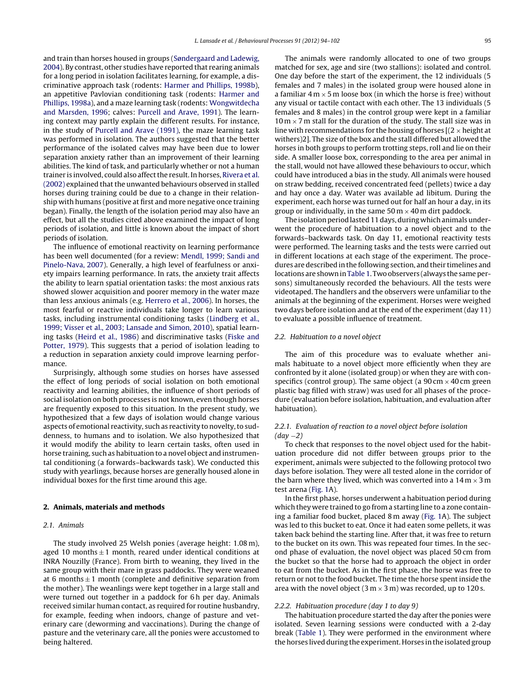and train than horses housed in groups ([Søndergaard](#page-8-0) [and](#page-8-0) [Ladewig,](#page-8-0) [2004\).](#page-8-0) By contrast, other studies have reported that rearing animals for a long period in isolation facilitates learning, for example, a discriminative approach task (rodents: [Harmer](#page-8-0) [and](#page-8-0) [Phillips,](#page-8-0) [1998b\),](#page-8-0) an appetitive Pavlovian conditioning task (rodents: [Harmer](#page-8-0) [and](#page-8-0) [Phillips,](#page-8-0) [1998a\),](#page-8-0) and a maze learning task (rodents: [Wongwitdecha](#page-8-0) [and](#page-8-0) [Marsden,](#page-8-0) [1996;](#page-8-0) calves: [Purcell](#page-8-0) [and](#page-8-0) [Arave,](#page-8-0) [1991\).](#page-8-0) The learning context may partly explain the different results. For instance, in the study of [Purcell](#page-8-0) [and](#page-8-0) [Arave](#page-8-0) [\(1991\),](#page-8-0) the maze learning task was performed in isolation. The authors suggested that the better performance of the isolated calves may have been due to lower separation anxiety rather than an improvement of their learning abilities. The kind of task, and particularly whether or not a human trainer is involved, could also affect the result. In horses, [Rivera](#page-8-0) et [al.](#page-8-0) [\(2002\)](#page-8-0) explained that the unwanted behaviours observed in stalled horses during training could be due to a change in their relationship with humans (positive at first and more negative once training began). Finally, the length of the isolation period may also have an effect, but all the studies cited above examined the impact of long periods of isolation, and little is known about the impact of short periods of isolation.

The influence of emotional reactivity on learning performance has been well documented (for a review: [Mendl,](#page-8-0) [1999;](#page-8-0) [Sandi](#page-8-0) [and](#page-8-0) [Pinelo-Nava,](#page-8-0) [2007\).](#page-8-0) Generally, a high level of fearfulness or anxiety impairs learning performance. In rats, the anxiety trait affects the ability to learn spatial orientation tasks: the most anxious rats showed slower acquisition and poorer memory in the water maze than less anxious animals (e.g. [Herrero](#page-8-0) et [al.,](#page-8-0) [2006\).](#page-8-0) In horses, the most fearful or reactive individuals take longer to learn various tasks, including instrumental conditioning tasks [\(Lindberg](#page-8-0) et [al.,](#page-8-0) [1999;](#page-8-0) [Visser](#page-8-0) et [al.,](#page-8-0) [2003;](#page-8-0) [Lansade](#page-8-0) [and](#page-8-0) [Simon,](#page-8-0) [2010\),](#page-8-0) spatial learning tasks [\(Heird](#page-8-0) et [al.,](#page-8-0) [1986\)](#page-8-0) and discriminative tasks ([Fiske](#page-8-0) [and](#page-8-0) [Potter,](#page-8-0) [1979\).](#page-8-0) This suggests that a period of isolation leading to a reduction in separation anxiety could improve learning performance.

Surprisingly, although some studies on horses have assessed the effect of long periods of social isolation on both emotional reactivity and learning abilities, the influence of short periods of social isolation on both processes is not known, even though horses are frequently exposed to this situation. In the present study, we hypothesized that a few days of isolation would change various aspects of emotional reactivity, such as reactivity to novelty, to suddenness, to humans and to isolation. We also hypothesized that it would modify the ability to learn certain tasks, often used in horse training, such as habituation to a novel object and instrumental conditioning (a forwards–backwards task). We conducted this study with yearlings, because horses are generally housed alone in individual boxes for the first time around this age.

#### **2. Animals, materials and methods**

## 2.1. Animals

The study involved 25 Welsh ponies (average height: 1.08 m), aged 10 months  $\pm$  1 month, reared under identical conditions at INRA Nouzilly (France). From birth to weaning, they lived in the same group with their mare in grass paddocks. They were weaned at 6 months  $\pm$  1 month (complete and definitive separation from the mother). The weanlings were kept together in a large stall and were turned out together in a paddock for 6 h per day. Animals received similar human contact, as required for routine husbandry, for example, feeding when indoors, change of pasture and veterinary care (deworming and vaccinations). During the change of pasture and the veterinary care, all the ponies were accustomed to being haltered.

The animals were randomly allocated to one of two groups matched for sex, age and sire (two stallions): isolated and control. One day before the start of the experiment, the 12 individuals (5 females and 7 males) in the isolated group were housed alone in a familiar  $4 \text{ m} \times 5 \text{ m}$  loose box (in which the horse is free) without any visual or tactile contact with each other. The 13 individuals (5 females and 8 males) in the control group were kept in a familiar  $10 \text{ m} \times 7 \text{ m}$  stall for the duration of the study. The stall size was in line with recommendations for the housing of horses  $[(2 \times \text{height at}]$ withers)2]. The size of the box and the stall differed but allowed the horses in both groups to perform trotting steps, roll and lie on their side. A smaller loose box, corresponding to the area per animal in the stall, would not have allowed these behaviours to occur, which could have introduced a bias in the study. All animals were housed on straw bedding, received concentrated feed (pellets) twice a day and hay once a day. Water was available ad libitum. During the experiment, each horse was turned out for half an hour a day, in its group or individually, in the same 50 m  $\times$  40 m dirt paddock.

The isolation period lasted 11 days, during which animals underwent the procedure of habituation to a novel object and to the forwards–backwards task. On day 11, emotional reactivity tests were performed. The learning tasks and the tests were carried out in different locations at each stage of the experiment. The procedures are described in the following section, and their timelines and locations are shown in [Table](#page-2-0) 1. Two observers (always the same persons) simultaneously recorded the behaviours. All the tests were videotaped. The handlers and the observers were unfamiliar to the animals at the beginning of the experiment. Horses were weighed two days before isolation and at the end of the experiment (day 11) to evaluate a possible influence of treatment.

#### 2.2. Habituation to a novel object

The aim of this procedure was to evaluate whether animals habituate to a novel object more efficiently when they are confronted by it alone (isolated group) or when they are with conspecifics (control group). The same object (a  $90 \text{ cm} \times 40 \text{ cm}$  green plastic bag filled with straw) was used for all phases of the procedure (evaluation before isolation, habituation, and evaluation after habituation).

## 2.2.1. Evaluation of reaction to a novel object before isolation  $(dav -2)$

To check that responses to the novel object used for the habituation procedure did not differ between groups prior to the experiment, animals were subjected to the following protocol two days before isolation. They were all tested alone in the corridor of the barn where they lived, which was converted into a  $14 \text{ m} \times 3 \text{ m}$ test arena [\(Fig.](#page-2-0) 1A).

In the first phase, horses underwent a habituation period during which they were trained to go from a starting line to a zone containing a familiar food bucket, placed 8 m away [\(Fig.](#page-2-0) 1A). The subject was led to this bucket to eat. Once it had eaten some pellets, it was taken back behind the starting line. After that, it was free to return to the bucket on its own. This was repeated four times. In the second phase of evaluation, the novel object was placed 50 cm from the bucket so that the horse had to approach the object in order to eat from the bucket. As in the first phase, the horse was free to return or not to the food bucket. The time the horse spent inside the area with the novel object ( $3 \text{ m} \times 3 \text{ m}$ ) was recorded, up to 120 s.

## 2.2.2. Habituation procedure (day 1 to day 9)

The habituation procedure started the day after the ponies were isolated. Seven learning sessions were conducted with a 2-day break ([Table](#page-2-0) 1). They were performed in the environment where the horses lived during the experiment. Horses in the isolated group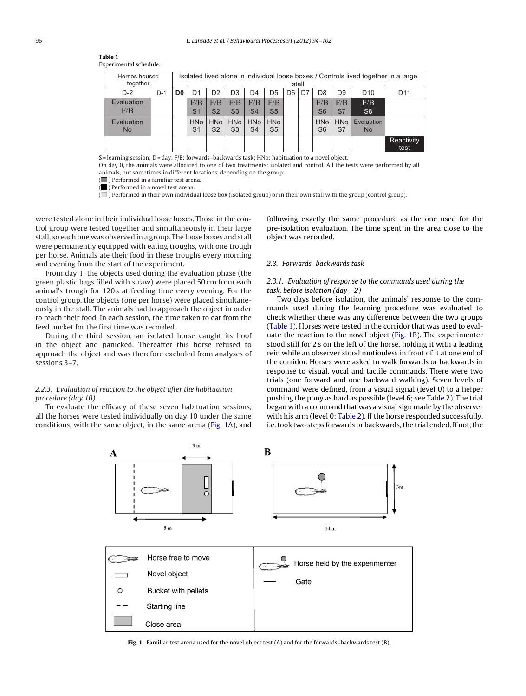<span id="page-2-0"></span>

| <b>Table 1</b>         |  |
|------------------------|--|
| Experimental schedule. |  |

| Horses housed<br>together |       | Isolated lived alone in individual loose boxes / Controls lived together in a large<br>stall |                              |                              |                       |                               |                              |                |    |                              |                  |                         |                    |
|---------------------------|-------|----------------------------------------------------------------------------------------------|------------------------------|------------------------------|-----------------------|-------------------------------|------------------------------|----------------|----|------------------------------|------------------|-------------------------|--------------------|
| $D-2$                     | $D-1$ | D <sub>0</sub>                                                                               | D1                           | D <sub>2</sub>               | D <sub>3</sub>        | D4                            | D5                           | D <sub>6</sub> | D7 | D <sub>8</sub>               | D <sub>9</sub>   | D <sub>10</sub>         | D <sub>11</sub>    |
| Evaluation<br>F/B         |       |                                                                                              | F/B<br>S <sub>1</sub>        | F/B<br>S <sub>2</sub>        | F/B<br>S <sub>3</sub> | F/B<br>S <sub>4</sub>         | F/B<br>S <sub>5</sub>        |                |    | F/B<br>S <sub>6</sub>        | F/B<br>S7        | F/B<br>S <sub>8</sub>   |                    |
| Evaluation<br><b>No</b>   |       |                                                                                              | <b>HNo</b><br>S <sub>1</sub> | <b>HNo</b><br>S <sub>2</sub> | S <sub>3</sub>        | HNo   HNo  <br>S <sub>4</sub> | <b>HNo</b><br>S <sub>5</sub> |                |    | <b>HNo</b><br>S <sub>6</sub> | <b>HNo</b><br>S7 | Evaluation<br><b>No</b> |                    |
|                           |       |                                                                                              |                              |                              |                       |                               |                              |                |    |                              |                  |                         | Reactivity<br>test |

S = learning session; D = day; F/B: forwards–backwards task; HNo: habituation to a novel object.

On day 0, the animals were allocated to one of two treatments: isolated and control. All the tests were performed by all animals, but sometimes in different locations, depending on the group:

( ) Performed in a familiar test arena. ( ) Performed in a novel test arena.

 $\overline{a}$ ) Performed in their own individual loose box (isolated group) or in their own stall with the group (control group).

were tested alone in their individual loose boxes. Those in the control group were tested together and simultaneously in their large stall, so each one was observed in a group. The loose boxes and stall were permanently equipped with eating troughs, with one trough per horse. Animals ate their food in these troughs every morning and evening from the start of the experiment.

From day 1, the objects used during the evaluation phase (the green plastic bags filled with straw) were placed 50 cm from each animal's trough for 120 s at feeding time every evening. For the control group, the objects (one per horse) were placed simultaneously in the stall. The animals had to approach the object in order to reach their food. In each session, the time taken to eat from the feed bucket for the first time was recorded.

During the third session, an isolated horse caught its hoof in the object and panicked. Thereafter this horse refused to approach the object and was therefore excluded from analyses of sessions 3–7.

# 2.2.3. Evaluation of reaction to the object after the habituation procedure (day 10)

To evaluate the efficacy of these seven habituation sessions, all the horses were tested individually on day 10 under the same conditions, with the same object, in the same arena (Fig. 1A), and following exactly the same procedure as the one used for the pre-isolation evaluation. The time spent in the area close to the object was recorded.

## 2.3. Forwards–backwards task

## 2.3.1. Evaluation of response to the commands used during the task, before isolation (day  $-2$ )

Two days before isolation, the animals' response to the commands used during the learning procedure was evaluated to check whether there was any difference between the two groups (Table 1). Horses were tested in the corridor that was used to evaluate the reaction to the novel object (Fig. 1B). The experimenter stood still for 2 s on the left of the horse, holding it with a leading rein while an observer stood motionless in front of it at one end of the corridor. Horses were asked to walk forwards or backwards in response to visual, vocal and tactile commands. There were two trials (one forward and one backward walking). Seven levels of command were defined, from a visual signal (level 0) to a helper pushing the pony as hard as possible (level 6; see [Table](#page-3-0) 2). The trial began with a command that was a visual sign made by the observer with his arm (level 0; [Table](#page-3-0) 2). If the horse responded successfully, i.e. took two steps forwards or backwards, the trial ended. If not, the



**Fig. 1.** Familiar test arena used for the novel object test (A) and for the forwards–backwards test (B).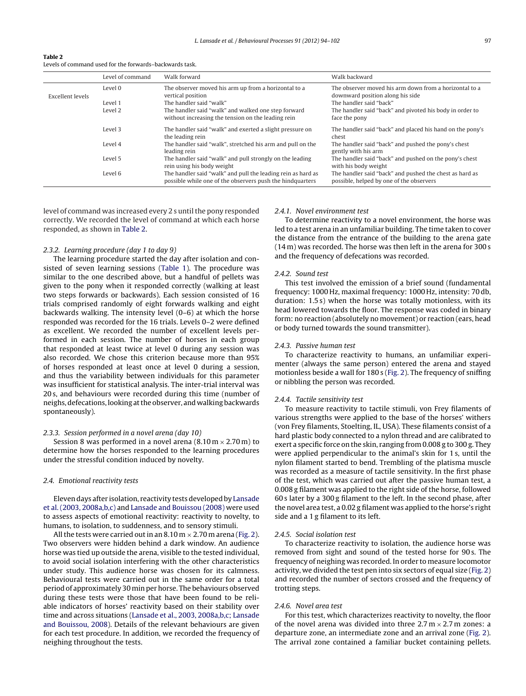<span id="page-3-0"></span>

| Table 2                                                 |
|---------------------------------------------------------|
| Levels of command used for the forwards-backwards task. |

|                  | Level of command | Walk forward                                                                                                              | Walk backward                                                                                       |
|------------------|------------------|---------------------------------------------------------------------------------------------------------------------------|-----------------------------------------------------------------------------------------------------|
| Excellent levels | Level 0          | The observer moved his arm up from a horizontal to a<br>vertical position                                                 | The observer moved his arm down from a horizontal to a<br>downward position along his side          |
|                  | Level 1          | The handler said "walk"                                                                                                   | The handler said "back"                                                                             |
|                  | Level 2          | The handler said "walk" and walked one step forward<br>without increasing the tension on the leading rein                 | The handler said "back" and pivoted his body in order to<br>face the pony                           |
|                  | Level 3          | The handler said "walk" and exerted a slight pressure on<br>the leading rein                                              | The handler said "back" and placed his hand on the pony's<br>chest                                  |
|                  | Level 4          | The handler said "walk", stretched his arm and pull on the<br>leading rein                                                | The handler said "back" and pushed the pony's chest<br>gently with his arm                          |
|                  | Level 5          | The handler said "walk" and pull strongly on the leading<br>rein using his body weight                                    | The handler said "back" and pushed on the pony's chest<br>with his body weight                      |
|                  | Level 6          | The handler said "walk" and pull the leading rein as hard as<br>possible while one of the observers push the hindquarters | The handler said "back" and pushed the chest as hard as<br>possible, helped by one of the observers |

level of command was increased every 2 s until the pony responded correctly. We recorded the level of command at which each horse responded, as shown in Table 2.

## 2.3.2. Learning procedure (day 1 to day 9)

The learning procedure started the day after isolation and consisted of seven learning sessions [\(Table](#page-2-0) 1). The procedure was similar to the one described above, but a handful of pellets was given to the pony when it responded correctly (walking at least two steps forwards or backwards). Each session consisted of 16 trials comprised randomly of eight forwards walking and eight backwards walking. The intensity level (0–6) at which the horse responded was recorded for the 16 trials. Levels 0–2 were defined as excellent. We recorded the number of excellent levels performed in each session. The number of horses in each group that responded at least twice at level 0 during any session was also recorded. We chose this criterion because more than 95% of horses responded at least once at level 0 during a session, and thus the variability between individuals for this parameter was insufficient for statistical analysis. The inter-trial interval was 20 s, and behaviours were recorded during this time (number of neighs, defecations, looking at the observer, and walking backwards spontaneously).

#### 2.3.3. Session performed in a novel arena (day 10)

Session 8 was performed in a novel arena  $(8.10 \text{ m} \times 2.70 \text{ m})$  to determine how the horses responded to the learning procedures under the stressful condition induced by novelty.

#### 2.4. Emotional reactivity tests

Eleven days after isolation, reactivity tests developed by [Lansade](#page-8-0) et [al.](#page-8-0) [\(2003,](#page-8-0) [2008a,b,c\)](#page-8-0) and [Lansade](#page-8-0) [and](#page-8-0) [Bouissou](#page-8-0) [\(2008\)](#page-8-0) were used to assess aspects of emotional reactivity: reactivity to novelty, to humans, to isolation, to suddenness, and to sensory stimuli.

All the tests were carried out in an 8.10 m  $\times$  2.70 m arena [\(Fig.](#page-4-0) 2). Two observers were hidden behind a dark window. An audience horse was tied up outside the arena, visible to the tested individual, to avoid social isolation interfering with the other characteristics under study. This audience horse was chosen for its calmness. Behavioural tests were carried out in the same order for a total period of approximately 30 min per horse. The behaviours observed during these tests were those that have been found to be reliable indicators of horses' reactivity based on their stability over time and across situations [\(Lansade](#page-8-0) et [al.,](#page-8-0) [2003,](#page-8-0) [2008a,b,c;](#page-8-0) [Lansade](#page-8-0) [and](#page-8-0) [Bouissou,](#page-8-0) [2008\).](#page-8-0) Details of the relevant behaviours are given for each test procedure. In addition, we recorded the frequency of neighing throughout the tests.

## 2.4.1. Novel environment test

To determine reactivity to a novel environment, the horse was led to a test arena in an unfamiliar building. The time taken to cover the distance from the entrance of the building to the arena gate (14 m) was recorded. The horse was then left in the arena for 300 s and the frequency of defecations was recorded.

#### 2.4.2. Sound test

This test involved the emission of a brief sound (fundamental frequency: 1000 Hz, maximal frequency: 1000 Hz, intensity: 70 db, duration: 1.5 s) when the horse was totally motionless, with its head lowered towards the floor. The response was coded in binary form: no reaction (absolutely no movement) or reaction (ears, head or body turned towards the sound transmitter).

#### 2.4.3. Passive human test

To characterize reactivity to humans, an unfamiliar experimenter (always the same person) entered the arena and stayed motionless beside a wall for 180 s ([Fig.](#page-4-0) 2). The frequency of sniffing or nibbling the person was recorded.

#### 2.4.4. Tactile sensitivity test

To measure reactivity to tactile stimuli, von Frey filaments of various strengths were applied to the base of the horses' withers (von Frey filaments, Stoelting, IL, USA). These filaments consist of a hard plastic body connected to a nylon thread and are calibrated to exert a specific force on the skin, ranging from 0.008 g to 300 g. They were applied perpendicular to the animal's skin for 1 s, until the nylon filament started to bend. Trembling of the platisma muscle was recorded as a measure of tactile sensitivity. In the first phase of the test, which was carried out after the passive human test, a 0.008 g filament was applied to the right side of the horse, followed 60 s later by a 300 g filament to the left. In the second phase, after the novel area test, a 0.02 g filament was applied to the horse's right side and a 1 g filament to its left.

#### 2.4.5. Social isolation test

To characterize reactivity to isolation, the audience horse was removed from sight and sound of the tested horse for 90 s. The frequency of neighing was recorded. In order to measure locomotor activity, we divided the test pen into six sectors of equal size [\(Fig.](#page-4-0) 2) and recorded the number of sectors crossed and the frequency of trotting steps.

## 2.4.6. Novel area test

For this test, which characterizes reactivity to novelty, the floor of the novel arena was divided into three  $2.7 \text{ m} \times 2.7 \text{ m}$  zones: a departure zone, an intermediate zone and an arrival zone ([Fig.](#page-4-0) 2). The arrival zone contained a familiar bucket containing pellets.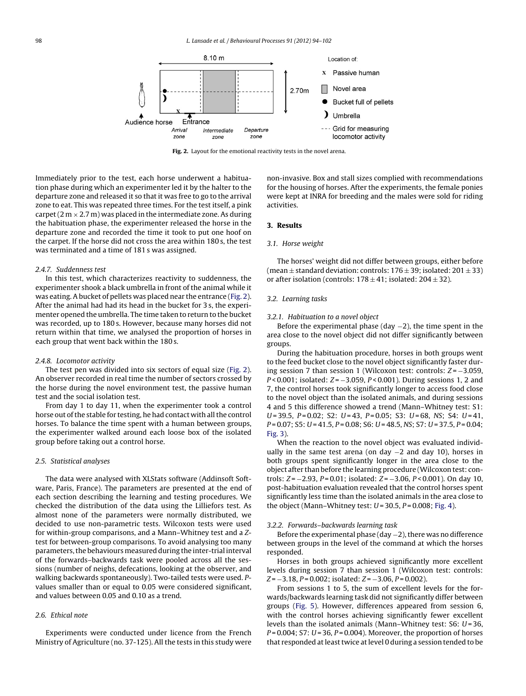<span id="page-4-0"></span>

**Fig. 2.** Layout for the emotional reactivity tests in the novel arena.

Immediately prior to the test, each horse underwent a habituation phase during which an experimenter led it by the halter to the departure zone and released it so that it was free to go to the arrival zone to eat. This was repeated three times. For the test itself, a pink carpet (2 m  $\times$  2.7 m) was placed in the intermediate zone. As during the habituation phase, the experimenter released the horse in the departure zone and recorded the time it took to put one hoof on the carpet. If the horse did not cross the area within 180 s, the test was terminated and a time of 181 s was assigned.

#### 2.4.7. Suddenness test

In this test, which characterizes reactivity to suddenness, the experimenter shook a black umbrella in front of the animal while it was eating. A bucket of pellets was placed near the entrance (Fig. 2). After the animal had had its head in the bucket for 3 s, the experimenter opened the umbrella. The time taken to return to the bucket was recorded, up to 180 s. However, because many horses did not return within that time, we analysed the proportion of horses in each group that went back within the 180 s.

## 2.4.8. Locomotor activity

The test pen was divided into six sectors of equal size (Fig. 2). An observer recorded in real time the number of sectors crossed by the horse during the novel environment test, the passive human test and the social isolation test.

From day 1 to day 11, when the experimenter took a control horse out of the stable for testing, he had contact with all the control horses. To balance the time spent with a human between groups, the experimenter walked around each loose box of the isolated group before taking out a control horse.

#### 2.5. Statistical analyses

The data were analysed with XLStats software (Addinsoft Software, Paris, France). The parameters are presented at the end of each section describing the learning and testing procedures. We checked the distribution of the data using the Lilliefors test. As almost none of the parameters were normally distributed, we decided to use non-parametric tests. Wilcoxon tests were used for within-group comparisons, and a Mann–Whitney test and a Ztest for between-group comparisons. To avoid analysing too many parameters, the behaviours measured during the inter-trial interval of the forwards–backwards task were pooled across all the sessions (number of neighs, defecations, looking at the observer, and walking backwards spontaneously). Two-tailed tests were used. Pvalues smaller than or equal to 0.05 were considered significant, and values between 0.05 and 0.10 as a trend.

## 2.6. Ethical note

Experiments were conducted under licence from the French Ministry of Agriculture (no. 37-125). All the tests in this study were non-invasive. Box and stall sizes complied with recommendations for the housing of horses. After the experiments, the female ponies were kept at INRA for breeding and the males were sold for riding activities.

# **3. Results**

#### 3.1. Horse weight

The horses' weight did not differ between groups, either before (mean  $\pm$  standard deviation: controls: 176  $\pm$  39; isolated: 201  $\pm$  33) or after isolation (controls:  $178 \pm 41$ ; isolated:  $204 \pm 32$ ).

#### 3.2. Learning tasks

#### 3.2.1. Habituation to a novel object

Before the experimental phase (day −2), the time spent in the area close to the novel object did not differ significantly between groups.

During the habituation procedure, horses in both groups went to the feed bucket close to the novel object significantly faster during session 7 than session 1 (Wilcoxon test: controls:  $Z = -3.059$ , P < 0.001; isolated: Z = −3.059, P < 0.001). During sessions 1, 2 and 7, the control horses took significantly longer to access food close to the novel object than the isolated animals, and during sessions 4 and 5 this difference showed a trend (Mann–Whitney test: S1:  $U = 39.5$ ,  $P = 0.02$ ; S2:  $U = 43$ ,  $P = 0.05$ ; S3:  $U = 68$ , NS; S4:  $U = 41$ ,  $P = 0.07$ ; S5: U = 41.5, P = 0.08; S6: U = 48.5, NS; S7: U = 37.5, P = 0.04; [Fig.](#page-5-0) 3).

When the reaction to the novel object was evaluated individually in the same test arena (on day −2 and day 10), horses in both groups spent significantly longer in the area close to the object after than before the learning procedure (Wilcoxon test: controls:  $Z = -2.93$ ,  $P = 0.01$ ; isolated:  $Z = -3.06$ ,  $P < 0.001$ ). On day 10, post-habituation evaluation revealed that the control horses spent significantly less time than the isolated animals in the area close to the object (Mann-Whitney test:  $U = 30.5$ ,  $P = 0.008$ ; [Fig.](#page-5-0) 4).

#### 3.2.2. Forwards–backwards learning task

Before the experimental phase (day −2), there was no difference between groups in the level of the command at which the horses responded.

Horses in both groups achieved significantly more excellent levels during session 7 than session 1 (Wilcoxon test: controls:  $Z = -3.18$ ,  $P = 0.002$ ; isolated:  $Z = -3.06$ ,  $P = 0.002$ ).

From sessions 1 to 5, the sum of excellent levels for the forwards/backwards learning task did not significantly differ between groups ([Fig.](#page-5-0) 5). However, differences appeared from session 6, with the control horses achieving significantly fewer excellent levels than the isolated animals (Mann–Whitney test:  $S6$ :  $U = 36$ ,  $P = 0.004$ ; S7:  $U = 36$ ,  $P = 0.004$ ). Moreover, the proportion of horses that responded at least twice at level 0 during a session tended to be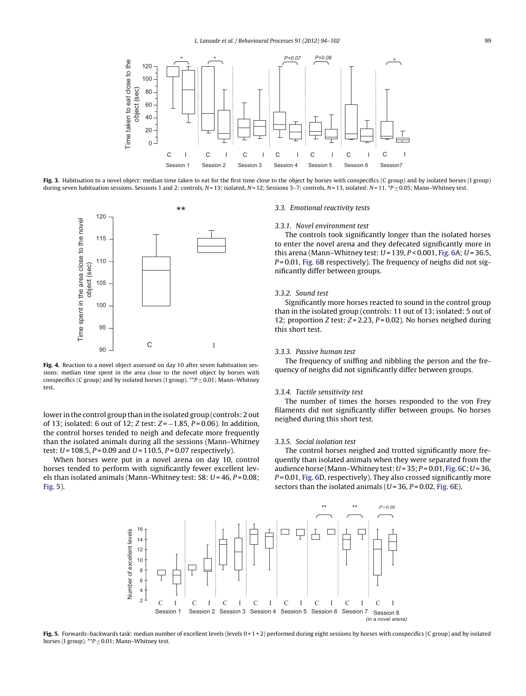<span id="page-5-0"></span>

Fig. 3. Habituation to a novel object: median time taken to eat for the first time close to the object by horses with conspecifics (C group) and by isolated horses (I group) during seven habituation sessions. Sessions 1 and 2: controls, N=13; isolated, N=12; Sessions 3-7: controls, N=13, isolated: N=11. \*P ≤ 0.05; Mann-Whitney test.



**Fig. 4.** Reaction to a novel object assessed on day 10 after seven habituation sessions: median time spent in the area close to the novel object by horses with conspecifics (C group) and by isolated horses (I group).  $*P \leq 0.01$ ; Mann–Whitney test.

lower in the control group than in the isolated group (controls: 2 out of 13; isolated: 6 out of 12; Z test:  $Z = -1.85$ ,  $P = 0.06$ ). In addition, the control horses tended to neigh and defecate more frequently than the isolated animals during all the sessions (Mann–Whitney test:  $U = 108.5$ ,  $P = 0.09$  and  $U = 110.5$ ,  $P = 0.07$  respectively).

When horses were put in a novel arena on day 10, control horses tended to perform with significantly fewer excellent levels than isolated animals (Mann–Whitney test: S8:  $U = 46$ ,  $P = 0.08$ ; Fig. 5).

#### 3.3. Emotional reactivity tests

#### 3.3.1. Novel environment test

The controls took significantly longer than the isolated horses to enter the novel arena and they defecated significantly more in this arena (Mann-Whitney test:  $U = 139, P < 0.001$ , [Fig.](#page-6-0) 6A;  $U = 36.5$ ,  $P = 0.01$ , [Fig.](#page-6-0) 6B respectively). The frequency of neighs did not significantly differ between groups.

#### 3.3.2. Sound test

Significantly more horses reacted to sound in the control group than in the isolated group (controls: 11 out of 13; isolated: 5 out of 12; proportion Z test:  $Z = 2.23$ ,  $P = 0.02$ ). No horses neighed during this short test.

## 3.3.3. Passive human test

The frequency of sniffing and nibbling the person and the frequency of neighs did not significantly differ between groups.

#### 3.3.4. Tactile sensitivity test

The number of times the horses responded to the von Frey filaments did not significantly differ between groups. No horses neighed during this short test.

#### 3.3.5. Social isolation test

The control horses neighed and trotted significantly more frequently than isolated animals when they were separated from the audience horse (Mann–Whitney test:  $U = 35$ ;  $P = 0.01$ , [Fig.](#page-6-0) 6C;  $U = 36$ ,  $P = 0.01$ , [Fig.](#page-6-0) 6D, respectively). They also crossed significantly more sectors than the isolated animals ( $U = 36$ ,  $P = 0.02$ , [Fig.](#page-6-0) 6E).



**Fig. 5.** Forwards–backwards task: median number of excellent levels (levels 0 + 1 + 2) performed during eight sessions by horses with conspecifics (C group) and by isolated horses (I group).  $^{**}P \leq 0.01$ ; Mann-Whitney test.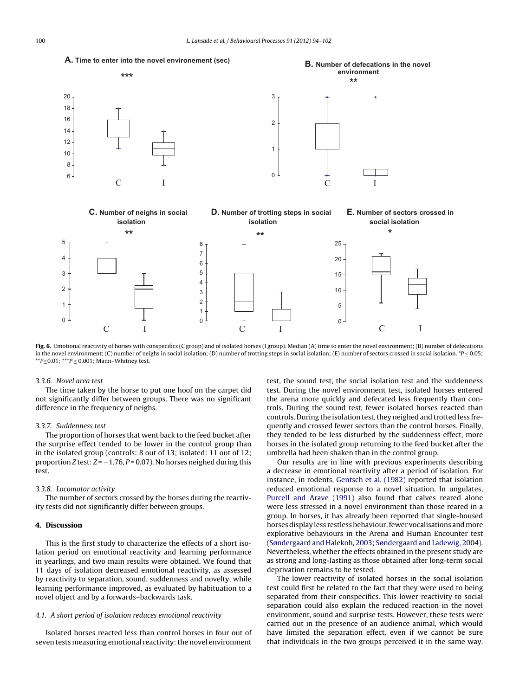<span id="page-6-0"></span>

**Fig. 6.** Emotional reactivity of horses with conspecifics (C group) and of isolated horses (I group). Median (A) time to enter the novel environment; (B) number of defecations in the novel environment; (C) number of neighs in social isolation; (D) number of trotting steps in social isolation; (E) number of sectors crossed in social isolation. \*P  $\leq$  0.05;  $*p \leq 0.01$ ;  $**p \leq 0.001$ ; Mann–Whitney test.

#### 3.3.6. Novel area test

The time taken by the horse to put one hoof on the carpet did not significantly differ between groups. There was no significant difference in the frequency of neighs.

#### 3.3.7. Suddenness test

The proportion of horses that went back to the feed bucket after the surprise effect tended to be lower in the control group than in the isolated group (controls: 8 out of 13; isolated: 11 out of 12; proportion Z test:  $Z = -1.76$ ,  $P = 0.07$ ). No horses neighed during this test.

## 3.3.8. Locomotor activity

The number of sectors crossed by the horses during the reactivity tests did not significantly differ between groups.

## **4. Discussion**

This is the first study to characterize the effects of a short isolation period on emotional reactivity and learning performance in yearlings, and two main results were obtained. We found that 11 days of isolation decreased emotional reactivity, as assessed by reactivity to separation, sound, suddenness and novelty, while learning performance improved, as evaluated by habituation to a novel object and by a forwards–backwards task.

# 4.1. A short period of isolation reduces emotional reactivity

Isolated horses reacted less than control horses in four out of seven tests measuring emotional reactivity: the novel environment test, the sound test, the social isolation test and the suddenness test. During the novel environment test, isolated horses entered the arena more quickly and defecated less frequently than controls. During the sound test, fewer isolated horses reacted than controls. During the isolation test, they neighed and trotted less frequently and crossed fewer sectors than the control horses. Finally, they tended to be less disturbed by the suddenness effect, more horses in the isolated group returning to the feed bucket after the umbrella had been shaken than in the control group.

Our results are in line with previous experiments describing a decrease in emotional reactivity after a period of isolation. For instance, in rodents, [Gentsch](#page-8-0) et [al.](#page-8-0) [\(1982\)](#page-8-0) reported that isolation reduced emotional response to a novel situation. In ungulates, [Purcell](#page-8-0) [and](#page-8-0) [Arave](#page-8-0) [\(1991\)](#page-8-0) also found that calves reared alone were less stressed in a novel environment than those reared in a group. In horses, it has already been reported that single-housed horses display less restless behaviour, fewer vocalisations and more explorative behaviours in the Arena and Human Encounter test [\(Søndergaard](#page-8-0) [and](#page-8-0) [Halekoh,](#page-8-0) [2003;](#page-8-0) [Søndergaard](#page-8-0) [and](#page-8-0) [Ladewig,](#page-8-0) [2004\).](#page-8-0) Nevertheless, whether the effects obtained in the present study are as strong and long-lasting as those obtained after long-term social deprivation remains to be tested.

The lower reactivity of isolated horses in the social isolation test could first be related to the fact that they were used to being separated from their conspecifics. This lower reactivity to social separation could also explain the reduced reaction in the novel environment, sound and surprise tests. However, these tests were carried out in the presence of an audience animal, which would have limited the separation effect, even if we cannot be sure that individuals in the two groups perceived it in the same way.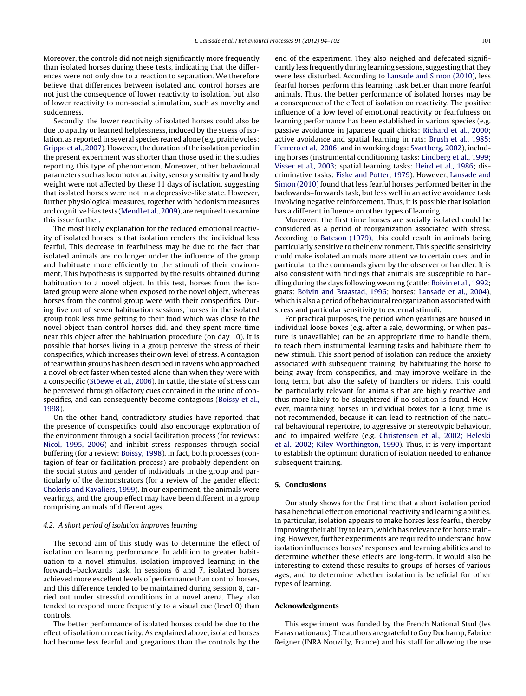Moreover, the controls did not neigh significantly more frequently than isolated horses during these tests, indicating that the differences were not only due to a reaction to separation. We therefore believe that differences between isolated and control horses are not just the consequence of lower reactivity to isolation, but also of lower reactivity to non-social stimulation, such as novelty and suddenness.

Secondly, the lower reactivity of isolated horses could also be due to apathy or learned helplessness, induced by the stress of isolation, as reported in several species reared alone (e.g. prairie voles: [Grippo](#page-8-0) et [al.,](#page-8-0) [2007\).](#page-8-0) However, the duration of the isolation period in the present experiment was shorter than those used in the studies reporting this type of phenomenon. Moreover, other behavioural parameters such as locomotor activity, sensory sensitivity and body weight were not affected by these 11 days of isolation, suggesting that isolated horses were not in a depressive-like state. However, further physiological measures, together with hedonism measures and cognitive bias tests ([Mendl](#page-8-0) et [al.,](#page-8-0) [2009\),](#page-8-0) are required to examine this issue further.

The most likely explanation for the reduced emotional reactivity of isolated horses is that isolation renders the individual less fearful. This decrease in fearfulness may be due to the fact that isolated animals are no longer under the influence of the group and habituate more efficiently to the stimuli of their environment. This hypothesis is supported by the results obtained during habituation to a novel object. In this test, horses from the isolated group were alone when exposed to the novel object, whereas horses from the control group were with their conspecifics. During five out of seven habituation sessions, horses in the isolated group took less time getting to their food which was close to the novel object than control horses did, and they spent more time near this object after the habituation procedure (on day 10). It is possible that horses living in a group perceive the stress of their conspecifics, which increases their own level of stress. A contagion of fear within groups has been described in ravens who approached a novel object faster when tested alone than when they were with a conspecific [\(Stöewe](#page-8-0) et [al.,](#page-8-0) [2006\).](#page-8-0) In cattle, the state of stress can be perceived through olfactory cues contained in the urine of conspecifics, and can consequently become contagious ([Boissy](#page-8-0) et [al.,](#page-8-0) [1998\).](#page-8-0)

On the other hand, contradictory studies have reported that the presence of conspecifics could also encourage exploration of the environment through a social facilitation process (for reviews: [Nicol,](#page-8-0) [1995,](#page-8-0) [2006\)](#page-8-0) and inhibit stress responses through social buffering (for a review: [Boissy,](#page-8-0) [1998\).](#page-8-0) In fact, both processes (contagion of fear or facilitation process) are probably dependent on the social status and gender of individuals in the group and particularly of the demonstrators (for a review of the gender effect: [Choleris](#page-8-0) [and](#page-8-0) [Kavaliers,](#page-8-0) [1999\).](#page-8-0) In our experiment, the animals were yearlings, and the group effect may have been different in a group comprising animals of different ages.

## 4.2. A short period of isolation improves learning

The second aim of this study was to determine the effect of isolation on learning performance. In addition to greater habituation to a novel stimulus, isolation improved learning in the forwards–backwards task. In sessions 6 and 7, isolated horses achieved more excellent levels of performance than control horses, and this difference tended to be maintained during session 8, carried out under stressful conditions in a novel arena. They also tended to respond more frequently to a visual cue (level 0) than controls.

The better performance of isolated horses could be due to the effect of isolation on reactivity. As explained above, isolated horses had become less fearful and gregarious than the controls by the end of the experiment. They also neighed and defecated significantly less frequently during learning sessions, suggesting that they were less disturbed. According to [Lansade](#page-8-0) [and](#page-8-0) [Simon](#page-8-0) [\(2010\),](#page-8-0) less fearful horses perform this learning task better than more fearful animals. Thus, the better performance of isolated horses may be a consequence of the effect of isolation on reactivity. The positive influence of a low level of emotional reactivity or fearfulness on learning performance has been established in various species (e.g. passive avoidance in Japanese quail chicks: [Richard](#page-8-0) et [al.,](#page-8-0) [2000;](#page-8-0) active avoidance and spatial learning in rats: [Brush](#page-8-0) et [al.,](#page-8-0) [1985;](#page-8-0) [Herrero](#page-8-0) et [al.,](#page-8-0) [2006;](#page-8-0) and in working dogs: [Svartberg,](#page-8-0) [2002\),](#page-8-0) including horses (instrumental conditioning tasks: [Lindberg](#page-8-0) et [al.,](#page-8-0) [1999;](#page-8-0) [Visser](#page-8-0) et [al.,](#page-8-0) [2003;](#page-8-0) spatial learning tasks: [Heird](#page-8-0) et [al.,](#page-8-0) [1986;](#page-8-0) discriminative tasks: [Fiske](#page-8-0) [and](#page-8-0) [Potter,](#page-8-0) [1979\).](#page-8-0) However, [Lansade](#page-8-0) [and](#page-8-0) [Simon](#page-8-0) [\(2010\)](#page-8-0) found that less fearful horses performed better in the backwards–forwards task, but less well in an active avoidance task involving negative reinforcement. Thus, it is possible that isolation has a different influence on other types of learning.

Moreover, the first time horses are socially isolated could be considered as a period of reorganization associated with stress. According to [Bateson](#page-8-0) [\(1979\),](#page-8-0) this could result in animals being particularly sensitive to their environment. This specific sensitivity could make isolated animals more attentive to certain cues, and in particular to the commands given by the observer or handler. It is also consistent with findings that animals are susceptible to handling during the days following weaning (cattle: [Boivin](#page-8-0) et [al.,](#page-8-0) [1992;](#page-8-0) goats: [Boivin](#page-8-0) [and](#page-8-0) [Braastad,](#page-8-0) [1996;](#page-8-0) horses: [Lansade](#page-8-0) et [al.,](#page-8-0) [2004\),](#page-8-0) which is also a period of behavioural reorganization associated with stress and particular sensitivity to external stimuli.

For practical purposes, the period when yearlings are housed in individual loose boxes (e.g. after a sale, deworming, or when pasture is unavailable) can be an appropriate time to handle them, to teach them instrumental learning tasks and habituate them to new stimuli. This short period of isolation can reduce the anxiety associated with subsequent training, by habituating the horse to being away from conspecifics, and may improve welfare in the long term, but also the safety of handlers or riders. This could be particularly relevant for animals that are highly reactive and thus more likely to be slaughtered if no solution is found. However, maintaining horses in individual boxes for a long time is not recommended, because it can lead to restriction of the natural behavioural repertoire, to aggressive or stereotypic behaviour, and to impaired welfare (e.g. [Christensen](#page-8-0) et [al.,](#page-8-0) [2002;](#page-8-0) [Heleski](#page-8-0) et [al.,](#page-8-0) [2002;](#page-8-0) [Kiley-Worthington,](#page-8-0) [1990\).](#page-8-0) Thus, it is very important to establish the optimum duration of isolation needed to enhance subsequent training.

## **5. Conclusions**

Our study shows for the first time that a short isolation period has a beneficial effect on emotional reactivity and learning abilities. In particular, isolation appears to make horses less fearful, thereby improving their ability to learn, which has relevance for horse training. However, further experiments are required to understand how isolation influences horses' responses and learning abilities and to determine whether these effects are long-term. It would also be interesting to extend these results to groups of horses of various ages, and to determine whether isolation is beneficial for other types of learning.

#### **Acknowledgments**

This experiment was funded by the French National Stud (les Haras nationaux). The authors are grateful to Guy Duchamp, Fabrice Reigner (INRA Nouzilly, France) and his staff for allowing the use